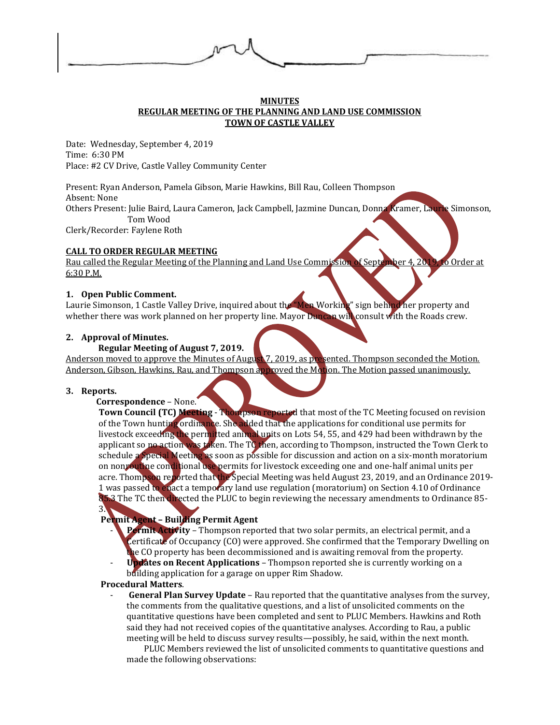

### **MINUTES REGULAR MEETING OF THE PLANNING AND LAND USE COMMISSION TOWN OF CASTLE VALLEY**

Date: Wednesday, September 4, 2019 Time: 6:30 PM Place: #2 CV Drive, Castle Valley Community Center

Present: Ryan Anderson, Pamela Gibson, Marie Hawkins, Bill Rau, Colleen Thompson Absent: None Others Present: Julie Baird, Laura Cameron, Jack Campbell, Jazmine Duncan, Donna Kramer, Laurie Simonson, Tom Wood Clerk/Recorder: Faylene Roth

# **CALL TO ORDER REGULAR MEETING**

Rau called the Regular Meeting of the Planning and Land Use Commission of September 4, 2019, to Order at 6:30 P.M.

# **1. Open Public Comment.**

Laurie Simonson, 1 Castle Valley Drive, inquired about the "Men Working" sign behind her property and whether there was work planned on her property line. Mayor Duncan will consult with the Roads crew.

# **2. Approval of Minutes.**

# **Regular Meeting of August 7, 2019.**

Anderson moved to approve the Minutes of August 7, 2019, as presented. Thompson seconded the Motion. Anderson, Gibson, Hawkins, Rau, and Thompson approved the Motion. The Motion passed unanimously.

## **3. Reports.**

3.

## **Correspondence** – None.

**Town Council (TC) Meeting - Thompson reported** that most of the TC Meeting focused on revision of the Town hunting ordinance. She added that the applications for conditional use permits for livestock exceeding the permitted animal upits on Lots 54, 55, and 429 had been withdrawn by the applicant so no action was taken. The TC then, according to Thompson, instructed the Town Clerk to schedule a Special Meeting as soon as possible for discussion and action on a six-month moratorium on nonroutine conditional use permits for livestock exceeding one and one-half animal units per acre. Thompson reported that the Special Meeting was held August 23, 2019, and an Ordinance 2019-1 was passed to enact a temporary land use regulation (moratorium) on Section 4.10 of Ordinance 85.3 The TC then directed the PLUC to begin reviewing the necessary amendments to Ordinance 85-

# **Permit Agent – Building Permit Agent**

- **Permit Activity** Thompson reported that two solar permits, an electrical permit, and a Certificate of Occupancy (CO) were approved. She confirmed that the Temporary Dwelling on the CO property has been decommissioned and is awaiting removal from the property.
- **Updates on Recent Applications** Thompson reported she is currently working on a building application for a garage on upper Rim Shadow.

# **Procedural Matters**.

**General Plan Survey Update** – Rau reported that the quantitative analyses from the survey, the comments from the qualitative questions, and a list of unsolicited comments on the quantitative questions have been completed and sent to PLUC Members. Hawkins and Roth said they had not received copies of the quantitative analyses. According to Rau, a public meeting will be held to discuss survey results—possibly, he said, within the next month.

PLUC Members reviewed the list of unsolicited comments to quantitative questions and made the following observations: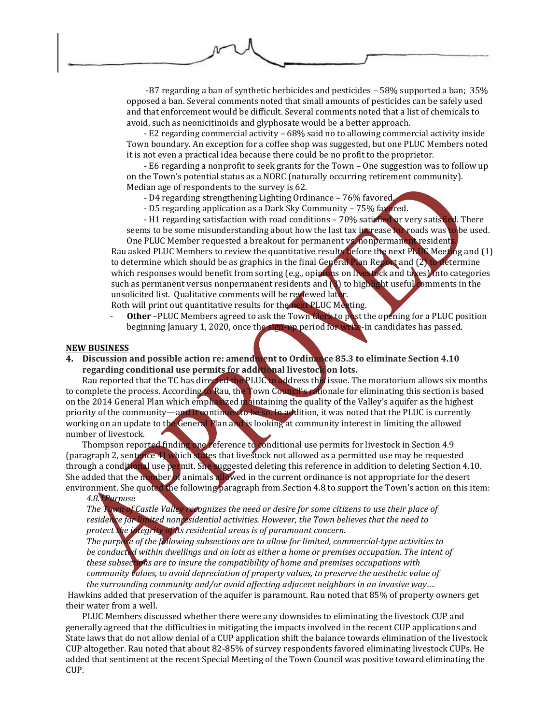-B7 regarding a ban of synthetic herbicides and pesticides – 58% supported a ban; 35% opposed a ban. Several comments noted that small amounts of pesticides can be safely used and that enforcement would be difficult. Several comments noted that a list of chemicals to avoid, such as neonicitinoids and glyphosate would be a better approach.

- E2 regarding commercial activity – 68% said no to allowing commercial activity inside Town boundary. An exception for a coffee shop was suggested, but one PLUC Members noted it is not even a practical idea because there could be no profit to the proprietor.

- E6 regarding a nonprofit to seek grants for the Town – One suggestion was to follow up on the Town's potential status as a NORC (naturally occurring retirement community). Median age of respondents to the survey is 62.

- D4 regarding strengthening Lighting Ordinance 76% favored.
- D5 regarding application as a Dark Sky Community 75% favored.

- H1 regarding satisfaction with road conditions – 70% satisfied or very satisfied. There seems to be some misunderstanding about how the last tax increase for roads was to be used.

One PLUC Member requested a breakout for permanent vs. nonpermanent residents Rau asked PLUC Members to review the quantitative results before the next PLUC Meeting and (1) to determine which should be as graphics in the final General Plan Report and  $(2)$  to determine which responses would benefit from sorting (e.g., opinions on livestock and taxes) into categories such as permanent versus nonpermanent residents and  $\langle \rangle$  to highlight useful comments in the unsolicited list. Qualitative comments will be reviewed later.

Roth will print out quantitative results for the next PLUC Meeting.

- **Other** –PLUC Members agreed to ask the Town Clerk to post the opening for a PLUC position beginning January 1, 2020, once the sign-up period for write-in candidates has passed.

#### **NEW BUSINESS**

**4. Discussion and possible action re: amendment to Ordinance 85.3 to eliminate Section 4.10 regarding conditional use permits for additional livestock on lots.** 

Rau reported that the TC has directed the PLUC to address this issue. The moratorium allows six months to complete the process. According to Rau, the Town Council's rationale for eliminating this section is based on the 2014 General Plan which emphasized maintaining the quality of the Valley's aquifer as the highest priority of the community—and it continues to be so. In addition, it was noted that the PLUC is currently working on an update to the General Plan and is looking at community interest in limiting the allowed number of livestock.

Thompson reported finding one reference to conditional use permits for livestock in Section 4.9 (paragraph 2, sentence 4) which states that livestock not allowed as a permitted use may be requested through a conditional use permit. She suggested deleting this reference in addition to deleting Section 4.10. She added that the number of animals allowed in the current ordinance is not appropriate for the desert environment. She quoted the following paragraph from Section 4.8 to support the Town's action on this item:

### *4.8.1Purpose*

*The Town of Castle Valley recognizes the need or desire for some citizens to use their place of residence for limited nonresidential activities. However, the Town believes that the need to protect the integrity of its residential areas is of paramount concern.*

*The purpose of the following subsections are to allow for limited, commercial-type activities to be conducted within dwellings and on lots as either a home or premises occupation. The intent of these subsections are to insure the compatibility of home and premises occupations with community values, to avoid depreciation of property values, to preserve the aesthetic value of the surrounding community and/or avoid affecting adjacent neighbors in an invasive way….*

Hawkins added that preservation of the aquifer is paramount. Rau noted that 85% of property owners get their water from a well.

PLUC Members discussed whether there were any downsides to eliminating the livestock CUP and generally agreed that the difficulties in mitigating the impacts involved in the recent CUP applications and State laws that do not allow denial of a CUP application shift the balance towards elimination of the livestock CUP altogether. Rau noted that about 82-85% of survey respondents favored eliminating livestock CUPs. He added that sentiment at the recent Special Meeting of the Town Council was positive toward eliminating the CUP.